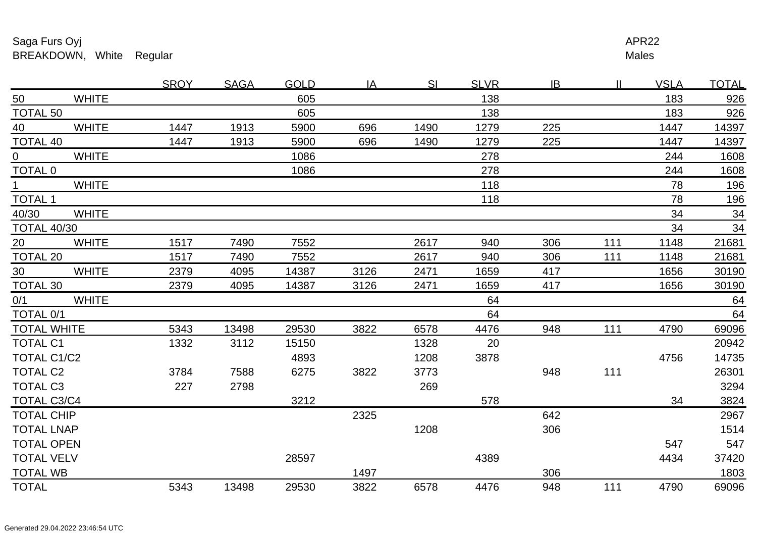## Saga Furs Oyjj de la provincia de la construction de la construction de la construction de la construction de la provincia d BREAKDOWN, White Regular

Males <u>r and the set of the set of the set of the set of the set of the set of the set of the set of the set of the set of the set of the set of the set of the set of the set of the set of the set of the set of the set of the se</u>

|                    |              | <b>SROY</b> | <b>SAGA</b> | <b>GOLD</b> | IA   | SI   | <b>SLVR</b> | IB  |     | <b>VSLA</b> | <b>TOTAL</b> |
|--------------------|--------------|-------------|-------------|-------------|------|------|-------------|-----|-----|-------------|--------------|
| 50                 | <b>WHITE</b> |             |             | 605         |      |      | 138         |     |     | 183         | 926          |
| <b>TOTAL 50</b>    |              |             |             | 605         |      |      | 138         |     |     | 183         | 926          |
| 40                 | <b>WHITE</b> | 1447        | 1913        | 5900        | 696  | 1490 | 1279        | 225 |     | 1447        | 14397        |
| <b>TOTAL 40</b>    |              | 1447        | 1913        | 5900        | 696  | 1490 | 1279        | 225 |     | 1447        | 14397        |
| $\overline{0}$     | <b>WHITE</b> |             |             | 1086        |      |      | 278         |     |     | 244         | 1608         |
| <b>TOTAL 0</b>     |              |             |             | 1086        |      |      | 278         |     |     | 244         | 1608         |
| $\mathbf 1$        | <b>WHITE</b> |             |             |             |      |      | 118         |     |     | 78          | 196          |
| <b>TOTAL 1</b>     |              |             |             |             |      |      | 118         |     |     | 78          | 196          |
| 40/30              | <b>WHITE</b> |             |             |             |      |      |             |     |     | 34          | 34           |
| <b>TOTAL 40/30</b> |              |             |             |             |      |      |             |     |     | 34          | 34           |
| 20                 | <b>WHITE</b> | 1517        | 7490        | 7552        |      | 2617 | 940         | 306 | 111 | 1148        | 21681        |
| <b>TOTAL 20</b>    |              | 1517        | 7490        | 7552        |      | 2617 | 940         | 306 | 111 | 1148        | 21681        |
| 30 <sup>°</sup>    | <b>WHITE</b> | 2379        | 4095        | 14387       | 3126 | 2471 | 1659        | 417 |     | 1656        | 30190        |
| TOTAL 30           |              | 2379        | 4095        | 14387       | 3126 | 2471 | 1659        | 417 |     | 1656        | 30190        |
| 0/1                | <b>WHITE</b> |             |             |             |      |      | 64          |     |     |             | 64           |
| TOTAL 0/1          |              |             |             |             |      |      | 64          |     |     |             | 64           |
| <b>TOTAL WHITE</b> |              | 5343        | 13498       | 29530       | 3822 | 6578 | 4476        | 948 | 111 | 4790        | 69096        |
| <b>TOTAL C1</b>    |              | 1332        | 3112        | 15150       |      | 1328 | 20          |     |     |             | 20942        |
| TOTAL C1/C2        |              |             |             | 4893        |      | 1208 | 3878        |     |     | 4756        | 14735        |
| <b>TOTAL C2</b>    |              | 3784        | 7588        | 6275        | 3822 | 3773 |             | 948 | 111 |             | 26301        |
| <b>TOTAL C3</b>    |              | 227         | 2798        |             |      | 269  |             |     |     |             | 3294         |
| <b>TOTAL C3/C4</b> |              |             |             | 3212        |      |      | 578         |     |     | 34          | 3824         |
| <b>TOTAL CHIP</b>  |              |             |             |             | 2325 |      |             | 642 |     |             | 2967         |
| <b>TOTAL LNAP</b>  |              |             |             |             |      | 1208 |             | 306 |     |             | 1514         |
| <b>TOTAL OPEN</b>  |              |             |             |             |      |      |             |     |     | 547         | 547          |
| <b>TOTAL VELV</b>  |              |             |             | 28597       |      |      | 4389        |     |     | 4434        | 37420        |
| <b>TOTAL WB</b>    |              |             |             |             | 1497 |      |             | 306 |     |             | 1803         |
| <b>TOTAL</b>       |              | 5343        | 13498       | 29530       | 3822 | 6578 | 4476        | 948 | 111 | 4790        | 69096        |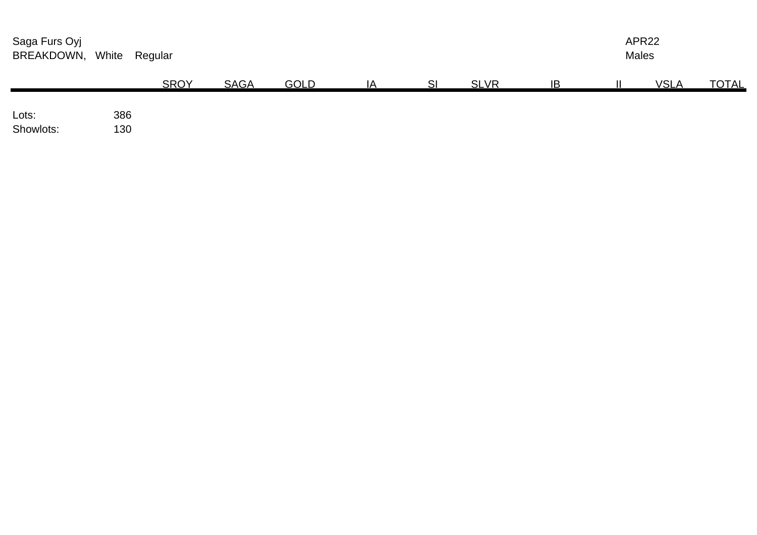| Saga Furs Oyj<br>BREAKDOWN, | White      | Regular     |             |             |    |    |             |           | APR22<br><b>Males</b> |             |              |  |
|-----------------------------|------------|-------------|-------------|-------------|----|----|-------------|-----------|-----------------------|-------------|--------------|--|
|                             |            | <b>SROY</b> | <b>SAGA</b> | <b>GOLD</b> | IA | SI | <b>SLVR</b> | <b>IB</b> |                       | <b>VSLA</b> | <b>TOTAL</b> |  |
| Lots:<br>Showlots:          | 386<br>130 |             |             |             |    |    |             |           |                       |             |              |  |